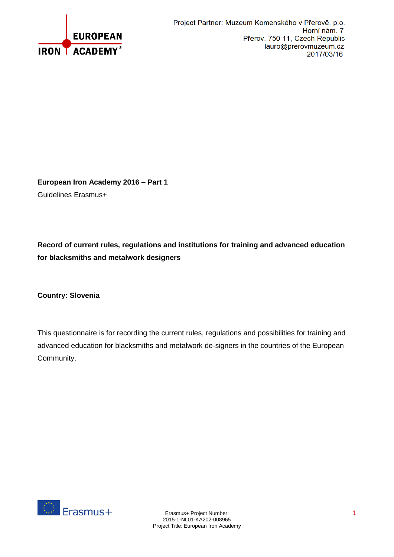

**European Iron Academy 2016 – Part 1** Guidelines Erasmus+

**Record of current rules, regulations and institutions for training and advanced education for blacksmiths and metalwork designers**

**Country: Slovenia**

This questionnaire is for recording the current rules, regulations and possibilities for training and advanced education for blacksmiths and metalwork de-signers in the countries of the European Community.

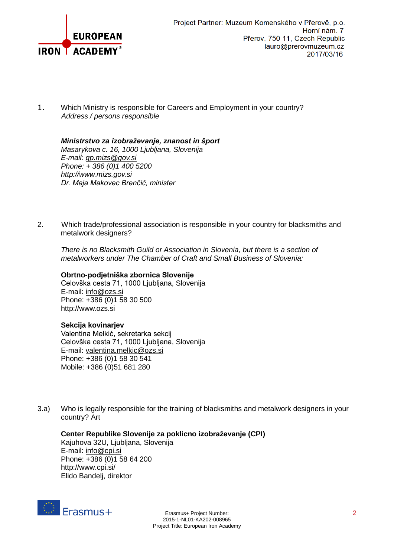

1. Which Ministry is responsible for Careers and Employment in your country? *Address / persons responsible* 

*Ministrstvo za izobraževanje, znanost in šport Masarykova c. 16, 1000 Ljubljana, Slovenija E-mail: [gp.mizs@gov.si](mailto:gp.mizs@gov.si) Phone: + 386 (0)1 400 5200 [http://www.mizs.gov.si](http://www.mizs.gov.si/) Dr. Maja Makovec Brenčič, minister*

2. Which trade/professional association is responsible in your country for blacksmiths and metalwork designers?

*There is no Blacksmith Guild or Association in Slovenia, but there is a section of metalworkers under The Chamber of Craft and Small Business of Slovenia:*

**Obrtno-podjetniška zbornica Slovenije**

Celovška cesta 71, 1000 Ljubljana, Slovenija E-mail: [info@ozs.si](mailto:info@ozs.si) Phone: +386 (0)1 58 30 500 [http://www.ozs.si](http://www.ozs.si/)

## **Sekcija kovinarjev**

Valentina Melkić, sekretarka sekcij Celovška cesta 71, 1000 Ljubljana, Slovenija E-mail: [valentina.melkic@ozs.si](mailto:valentina.melkic@ozs.si) Phone: +386 (0)1 58 30 541 Mobile: +386 (0)51 681 280

3.a) Who is legally responsible for the training of blacksmiths and metalwork designers in your country? Art

## **Center Republike Slovenije za poklicno izobraževanje (CPI)**

Kajuhova 32U, Ljubljana, Slovenija E-mail: [info@cpi.si](mailto:info@cpi.si) Phone: +386 (0)1 58 64 200 http://www.cpi.si/ Elido Bandelj, direktor

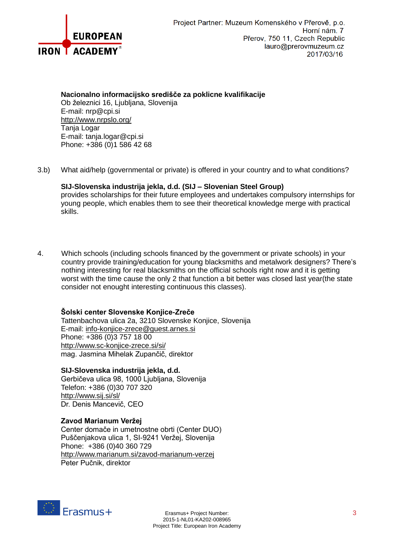

## **Nacionalno informacijsko središče za poklicne kvalifikacije**

Ob železnici 16, Ljubljana, Slovenija E-mail: nrp@cpi.si <http://www.nrpslo.org/> Tanja Logar E-mail: tanja.logar@cpi.si Phone: +386 (0)1 586 42 68

3.b) What aid/help (governmental or private) is offered in your country and to what conditions?

**SIJ-Slovenska industrija jekla, d.d. (SIJ – Slovenian Steel Group)** provides scholarships for their future employees and undertakes compulsory internships for young people, which enables them to see their theoretical knowledge merge with practical skills.

4. Which schools (including schools financed by the government or private schools) in your country provide training/education for young blacksmiths and metalwork designers? There's nothing interesting for real blacksmiths on the official schools right now and it is getting worst with the time cause the only 2 that function a bit better was closed last year(the state consider not enought interesting continuous this classes).

# **Šolski center Slovenske Konjice-Zreče**

Tattenbachova ulica 2a, 3210 Slovenske Konjice, Slovenija E-mail: [info-konjice-zrece@guest.arnes.si](mailto:info-konjice-zrece@guest.arnes.si) Phone: +386 (0)3 757 18 00 <http://www.sc-konjice-zrece.si/si/> mag. Jasmina Mihelak Zupančič, direktor

**SIJ-Slovenska industrija jekla, d.d.**

Gerbičeva ulica 98, 1000 Ljubljana, Slovenija Telefon: +386 (0)30 707 320 <http://www.sij.si/sl/> Dr. Denis Mancevič, CEO

## **Zavod Marianum Veržej**

Center domače in umetnostne obrti (Center DUO) Puščenjakova ulica 1, SI-9241 Veržej, Slovenija Phone: +386 (0)40 360 729 <http://www.marianum.si/zavod-marianum-verzej> Peter Pučnik, direktor

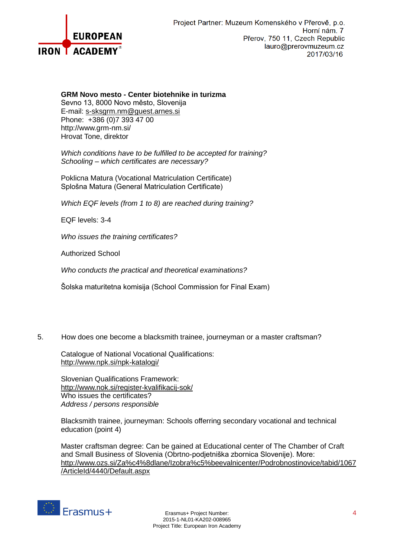

#### **GRM Novo mesto - Center biotehnike in turizma**

Sevno 13, 8000 Novo město, Slovenija E-mail: [s-sksgrm.nm@guest.arnes.si](mailto:s-sksgrm.nm@guest.arnes.si) Phone: +386 (0)7 393 47 00 http://www.grm-nm.si/ Hrovat Tone, direktor

*Which conditions have to be fulfilled to be accepted for training? Schooling – which certificates are necessary?* 

Poklicna Matura (Vocational Matriculation Certificate) Splošna Matura (General Matriculation Certificate)

*Which EQF levels (from 1 to 8) are reached during training?* 

EQF levels: 3-4

*Who issues the training certificates?* 

Authorized School

*Who conducts the practical and theoretical examinations?* 

Šolska maturitetna komisija (School Commission for Final Exam)

5. How does one become a blacksmith trainee, journeyman or a master craftsman?

Catalogue of National Vocational Qualifications: <http://www.npk.si/npk-katalogi/>

Slovenian Qualifications Framework: <http://www.nok.si/register-kvalifikacij-sok/> Who issues the certificates? *Address / persons responsible* 

Blacksmith trainee, journeyman: Schools offerring secondary vocational and technical education (point 4)

Master craftsman degree: Can be gained at Educational center of The Chamber of Craft and Small Business of Slovenia (Obrtno-podjetniška zbornica Slovenije). More: [http://www.ozs.si/Za%c4%8dlane/Izobra%c5%beevalnicenter/Podrobnostinovice/tabid/1067](http://www.ozs.si/Za%c4%8dlane/Izobra%c5%beevalnicenter/Podrobnostinovice/tabid/1067/ArticleId/4440/Default.aspx) [/ArticleId/4440/Default.aspx](http://www.ozs.si/Za%c4%8dlane/Izobra%c5%beevalnicenter/Podrobnostinovice/tabid/1067/ArticleId/4440/Default.aspx)

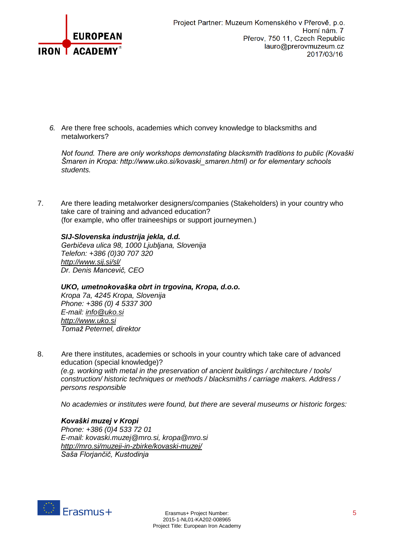

*6.* Are there free schools, academies which convey knowledge to blacksmiths and metalworkers?

*Not found. There are only workshops demonstating blacksmith traditions to public (Kovaški Šmaren in Kropa: http://www.uko.si/kovaski\_smaren.html) or for elementary schools students.*

7. Are there leading metalworker designers/companies (Stakeholders) in your country who take care of training and advanced education? (for example, who offer traineeships or support journeymen.)

# *SIJ-Slovenska industrija jekla, d.d.*

*Gerbičeva ulica 98, 1000 Ljubljana, Slovenija Telefon: +386 (0)30 707 320 <http://www.sij.si/sl/> Dr. Denis Mancevič, CEO*

## *UKO, umetnokovaška obrt in trgovina, Kropa, d.o.o.*

*Kropa 7a, 4245 Kropa, Slovenija Phone: +386 (0) 4 5337 300 E-mail: [info@uko.si](mailto:info@uko.si) [http://www.uko.si](http://www.uko.si/) Tomaž Peternel, direktor*

8. Are there institutes, academies or schools in your country which take care of advanced education (special knowledge)? *(e.g. working with metal in the preservation of ancient buildings / architecture / tools/ construction/ historic techniques or methods / blacksmiths / carriage makers. Address / persons responsible*

*No academies or institutes were found, but there are several museums or historic forges:*

## *Kovaški muzej v Kropi*

*Phone: +386 (0)4 533 72 01 E-mail: kovaski.muzej@mro.si, kropa@mro.si <http://mro.si/muzeji-in-zbirke/kovaski-muzej/> Saša Florjančič, Kustodinja*

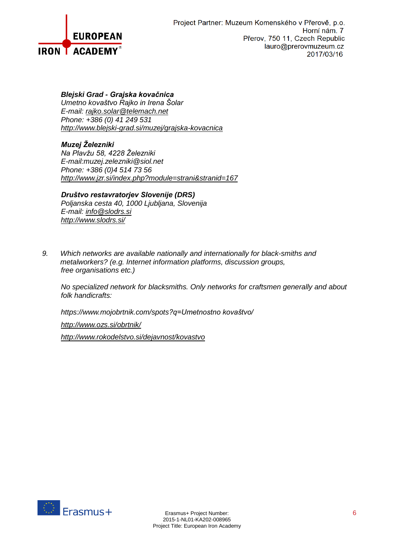

# *Blejski Grad - Grajska kovačnica*

*Umetno kovaštvo Rajko in Irena Šolar E-mail: [rajko.solar@telemach.net](mailto:rajko.solar@telemach.net) Phone: +386 (0) 41 249 531 <http://www.blejski-grad.si/muzej/grajska-kovacnica>*

# *Muzej Železniki*

*Na Plavžu 58, 4228 Železniki E-mail:muzej.zelezniki@siol.net Phone: +386 (0)4 514 73 56 <http://www.jzr.si/index.php?module=strani&stranid=167>*

#### *Društvo restavratorjev Slovenije (DRS)*

*Poljanska cesta 40, 1000 Ljubljana, Slovenija E-mail: [info@slodrs.si](mailto:info@slodrs.si) <http://www.slodrs.si/>*

*9. Which networks are available nationally and internationally for black-smiths and metalworkers? (e.g. Internet information platforms, discussion groups, free organisations etc.)* 

*No specialized network for blacksmiths. Only networks for craftsmen generally and about folk handicrafts:*

*https://www.mojobrtnik.com/spots?q=Umetnostno kovaštvo/*

*<http://www.ozs.si/obrtnik/>*

*<http://www.rokodelstvo.si/dejavnost/kovastvo>*

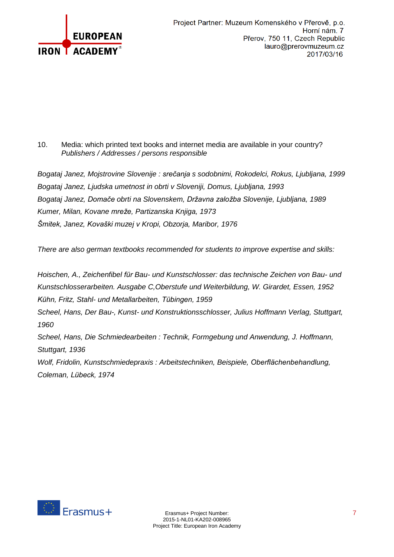

# 10. Media: which printed text books and internet media are available in your country? *Publishers / Addresses / persons responsible*

*Bogataj Janez, Mojstrovine Slovenije : srečanja s sodobnimi, Rokodelci, Rokus, Ljubljana, 1999 Bogataj Janez, Ljudska umetnost in obrti v Sloveniji, Domus, Ljubljana, 1993 Bogataj Janez, Domače obrti na Slovenskem, Državna založba Slovenije, Ljubljana, 1989 Kumer, Milan, Kovane mreže, Partizanska Knjiga, 1973 Šmitek, Janez, Kovaški muzej v Kropi, Obzorja, Maribor, 1976*

*There are also german textbooks recommended for students to improve expertise and skills:*

*Hoischen, A., Zeichenfibel für Bau- und Kunstschlosser: das technische Zeichen von Bau- und Kunstschlosserarbeiten. Ausgabe C,Oberstufe und Weiterbildung, W. Girardet, Essen, 1952 Kühn, Fritz, Stahl- und Metallarbeiten, Tübingen, 1959 Scheel, Hans, Der Bau-, Kunst- und Konstruktionsschlosser, Julius Hoffmann Verlag, Stuttgart, 1960 Scheel, Hans, Die Schmiedearbeiten : Technik, Formgebung und Anwendung, J. Hoffmann, Stuttgart, 1936*

*Wolf, Fridolin, Kunstschmiedepraxis : Arbeitstechniken, Beispiele, Oberflächenbehandlung, Coleman, Lübeck, 1974*